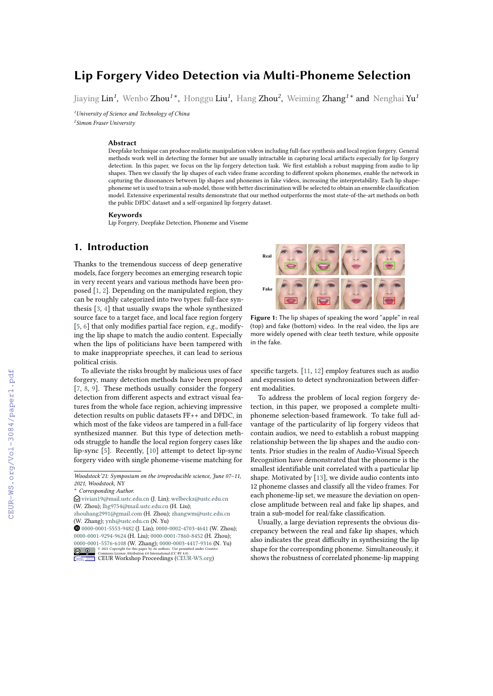# **Lip Forgery Video Detection via Multi-Phoneme Selection**

Jiaying Lin*<sup>1</sup>* , Wenbo Zhou*<sup>1</sup>* \* , Honggu Liu*<sup>1</sup>* , Hang Zhou*<sup>2</sup>* , Weiming Zhang*<sup>1</sup>* \* and Nenghai Yu*<sup>1</sup>*

*<sup>1</sup>University of Science and Technology of China*

*2 Simon Fraser University*

#### **Abstract**

Deepfake technique can produce realistic manipulation videos including full-face synthesis and local region forgery. General methods work well in detecting the former but are usually intractable in capturing local artifacts especially for lip forgery detection. In this paper, we focus on the lip forgery detection task. We frst establish a robust mapping from audio to lip shapes. Then we classify the lip shapes of each video frame according to diferent spoken phonemes, enable the network in capturing the dissonances between lip shapes and phonemes in fake videos, increasing the interpretability. Each lip shapephoneme set is used to train a sub-model, those with better discrimination will be selected to obtain an ensemble classifcation model. Extensive experimental results demonstrate that our method outperforms the most state-of-the-art methods on both the public DFDC dataset and a self-organized lip forgery dataset.

#### **Keywords**

Lip Forgery, Deepfake Detection, Phoneme and Viseme

## **1. Introduction**

Thanks to the tremendous success of deep generative models, face forgery becomes an emerging research topic in very recent years and various methods have been proposed [\[1,](#page--1-0) [2\]](#page--1-1). Depending on the manipulated region, they can be roughly categorized into two types: full-face synthesis [\[3,](#page--1-2) [4\]](#page--1-3) that usually swaps the whole synthesized source face to a target face, and local face region forgery [\[5,](#page--1-4) [6\]](#page--1-5) that only modifes partial face region, *e.g.*, modifying the lip shape to match the audio content. Especially when the lips of politicians have been tampered with to make inappropriate speeches, it can lead to serious political crisis.

To alleviate the risks brought by malicious uses of face forgery, many detection methods have been proposed [\[7,](#page--1-6) [8,](#page--1-7) [9\]](#page--1-8). These methods usually consider the forgery detection from diferent aspects and extract visual features from the whole face region, achieving impressive detection results on public datasets FF++ and DFDC, in which most of the fake videos are tampered in a full-face synthesized manner. But this type of detection methods struggle to handle the local region forgery cases like lip-sync [\[5\]](#page--1-4). Recently, [\[10\]](#page--1-9) attempt to detect lip-sync forgery video with single phoneme-viseme matching for

 $\bigcirc$  [vivian19@mail.ustc.edu.cn](mailto:vivian19@mail.ustc.edu.cn) (J. Lin); [welbeckz@ustc.edu.cn](mailto:welbeckz@ustc.edu.cn) (W. Zhou); [lhg9754@mail.ustc.edu.cn](mailto:lhg9754@mail.ustc.edu.cn) (H. Liu);

[zhouhang2991@gmail.com](mailto:zhouhang2991@gmail.com) (H. Zhou); [zhangwm@ustc.edu.cn](mailto:zhangwm@ustc.edu.cn) (W. Zhang); [ynh@ustc.edu.cn](mailto:ynh@ustc.edu.cn) (N. Yu)

 [0000-0001-5553-9482](https://orcid.org/0000-0001-5553-9482) (J. Lin); [0000-0002-4703-4641](https://orcid.org/0000-0002-4703-4641) (W. Zhou); [0000-0001-9294-9624](https://orcid.org/0000-0001-9294-9624) (H. Liu); [0000-0001-7860-8452](https://orcid.org/0000-0001-7860-8452) (H. Zhou); [0000-0001-5576-6108](https://orcid.org/0000-0001-5576-6108) (W. Zhang); [0000-0003-4417-9316](https://orcid.org/0000-0003-4417-9316) (N. Yu) his paper by its authors. Use p<br>ibution 4.0 International (CC B)



**Commons License Attribution 4.0 International (CC BY 4.0).**<br>[CEUR](https://creativecommons.org/licenses/by/4.0) Workshop [Proceedings](http://ceur-ws.org) [\(CEUR-WS.org\)](http://ceur-ws.org)



**Figure 1:** The lip shapes of speaking the word "apple" in real (top) and fake (bottom) video. In the real video, the lips are more widely opened with clear teeth texture, while opposite in the fake.

specifc targets. [\[11,](#page--1-10) [12\]](#page--1-11) employ features such as audio and expression to detect synchronization between diferent modalities.

To address the problem of local region forgery detection, in this paper, we proposed a complete multiphoneme selection-based framework. To take full advantage of the particularity of lip forgery videos that contain audios, we need to establish a robust mapping relationship between the lip shapes and the audio contents. Prior studies in the realm of Audio-Visual Speech Recognition have demonstrated that the phoneme is the smallest identifable unit correlated with a particular lip shape. Motivated by [\[13\]](#page--1-12), we divide audio contents into 12 phoneme classes and classify all the video frames. For each phoneme-lip set, we measure the deviation on openclose amplitude between real and fake lip shapes, and train a sub-model for real/fake classifcation.

Usually, a large deviation represents the obvious discrepancy between the real and fake lip shapes, which also indicates the great difficulty in synthesizing the lip shape for the corresponding phoneme. Simultaneously, it shows the robustness of correlated phoneme-lip mapping

*Woodstock'21: Symposium on the irreproducible science, June 07–11, 2021, Woodstock, NY*

<sup>\*</sup> *Corresponding Author.*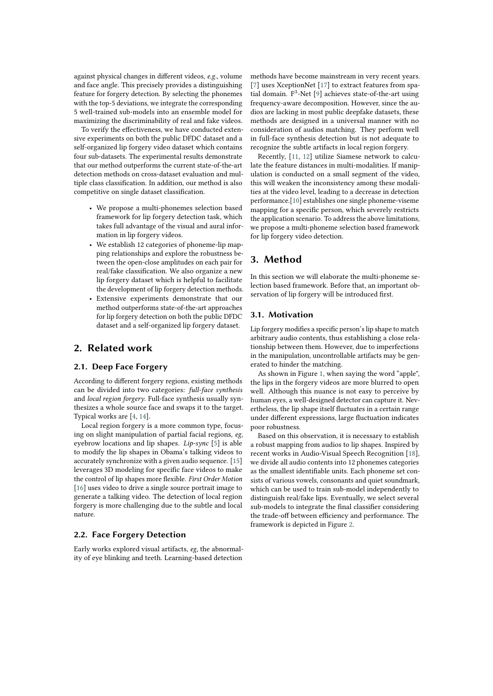against physical changes in diferent videos, *e.g.*, volume and face angle. This precisely provides a distinguishing feature for forgery detection. By selecting the phonemes with the top-5 deviations, we integrate the corresponding 5 well-trained sub-models into an ensemble model for maximizing the discriminability of real and fake videos.

To verify the effectiveness, we have conducted extensive experiments on both the public DFDC dataset and a self-organized lip forgery video dataset which contains four sub-datasets. The experimental results demonstrate that our method outperforms the current state-of-the-art detection methods on cross-dataset evaluation and multiple class classifcation. In addition, our method is also competitive on single dataset classifcation.

- We propose a multi-phonemes selection based framework for lip forgery detection task, which takes full advantage of the visual and aural information in lip forgery videos.
- We establish 12 categories of phoneme-lip mapping relationships and explore the robustness between the open-close amplitudes on each pair for real/fake classifcation. We also organize a new lip forgery dataset which is helpful to facilitate the development of lip forgery detection methods.
- Extensive experiments demonstrate that our method outperforms state-of-the-art approaches for lip forgery detection on both the public DFDC dataset and a self-organized lip forgery dataset.

## **2. Related work**

## **2.1. Deep Face Forgery**

According to diferent forgery regions, existing methods can be divided into two categories: *full-face synthesis* and *local region forgery*. Full-face synthesis usually synthesizes a whole source face and swaps it to the target. Typical works are [\[4,](#page-6-0) [14\]](#page-7-0).

Local region forgery is a more common type, focusing on slight manipulation of partial facial regions, *eg*, eyebrow locations and lip shapes. *Lip-sync* [\[5\]](#page-6-1) is able to modify the lip shapes in Obama's talking videos to accurately synchronize with a given audio sequence. [\[15\]](#page-7-1) leverages 3D modeling for specifc face videos to make the control of lip shapes more fexible. *First Order Motion* [\[16\]](#page-7-2) uses video to drive a single source portrait image to generate a talking video. The detection of local region forgery is more challenging due to the subtle and local nature.

### **2.2. Face Forgery Detection**

Early works explored visual artifacts, *eg*, the abnormality of eye blinking and teeth. Learning-based detection

methods have become mainstream in very recent years. [\[7\]](#page-6-2) uses XceptionNet [\[17\]](#page-7-3) to extract features from spa-tial domain. F<sup>3</sup>-Net [\[9\]](#page-6-3) achieves state-of-the-art using frequency-aware decomposition. However, since the audios are lacking in most public deepfake datasets, these methods are designed in a universal manner with no consideration of audios matching. They perform well in full-face synthesis detection but is not adequate to recognize the subtle artifacts in local region forgery.

Recently, [\[11,](#page-6-4) [12\]](#page-6-5) utilize Siamese network to calculate the feature distances in multi-modalities. If manipulation is conducted on a small segment of the video, this will weaken the inconsistency among these modalities at the video level, leading to a decrease in detection performance.[\[10\]](#page-6-6) establishes one single phoneme-viseme mapping for a specifc person, which severely restricts the application scenario. To address the above limitations, we propose a multi-phoneme selection based framework for lip forgery video detection.

## **3. Method**

In this section we will elaborate the multi-phoneme selection based framework. Before that, an important observation of lip forgery will be introduced frst.

### **3.1. Motivation**

Lip forgery modifes a specifc person's lip shape to match arbitrary audio contents, thus establishing a close relationship between them. However, due to imperfections in the manipulation, uncontrollable artifacts may be generated to hinder the matching.

As shown in Figure [1,](#page--1-13) when saying the word "apple", the lips in the forgery videos are more blurred to open well. Although this nuance is not easy to perceive by human eyes, a well-designed detector can capture it. Nevertheless, the lip shape itself fuctuates in a certain range under diferent expressions, large fuctuation indicates poor robustness.

Based on this observation, it is necessary to establish a robust mapping from audios to lip shapes. Inspired by recent works in Audio-Visual Speech Recognition [\[18\]](#page-7-4), we divide all audio contents into 12 phonemes categories as the smallest identifable units. Each phoneme set consists of various vowels, consonants and quiet soundmark, which can be used to train sub-model independently to distinguish real/fake lips. Eventually, we select several sub-models to integrate the fnal classifer considering the trade-off between efficiency and performance. The framework is depicted in Figure [2.](#page-2-0)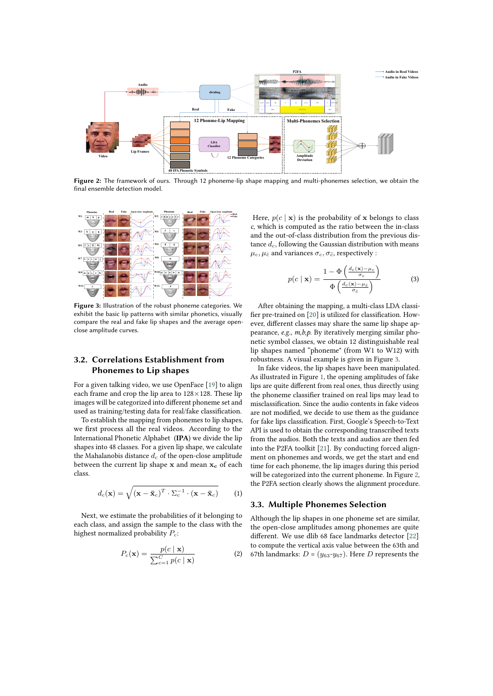

**Figure 2:** The framework of ours. Through 12 phoneme-lip shape mapping and multi-phonemes selection, we obtain the final ensemble detection model.



**Figure 3:** Illustration of the robust phoneme categories. We exhibit the basic lip patterns with similar phonetics, visually compare the real and fake lip shapes and the average openclose amplitude curves.

## **3.2. Correlations Establishment from Phonemes to Lip shapes**

For a given talking video, we use OpenFace [\[19\]](#page-7-5) to align each frame and crop the lip area to 128×128. These lip images will be categorized into diferent phoneme set and used as training/testing data for real/fake classifcation.

To establish the mapping from phonemes to lip shapes, we frst process all the real videos. According to the International Phonetic Alphabet (**IPA**) we divide the lip shapes into 48 classes. For a given lip shape, we calculate the Mahalanobis distance  $d_c$  of the open-close amplitude between the current lip shape  $x$  and mean  $x_c$  of each class.

$$
d_c(\mathbf{x}) = \sqrt{(\mathbf{x} - \bar{\mathbf{x}}_c)^T \cdot \Sigma_c^{-1} \cdot (\mathbf{x} - \bar{\mathbf{x}}_c)}
$$
(1)

Next, we estimate the probabilities of it belonging to each class, and assign the sample to the class with the highest normalized probability  $P_c$ :

$$
P_c(\mathbf{x}) = \frac{p(c \mid \mathbf{x})}{\sum_{c=1}^{C} p(c \mid \mathbf{x})}
$$
 (2)

<span id="page-2-0"></span>Here,  $p(c | x)$  is the probability of x belongs to class *c*, which is computed as the ratio between the in-class and the out-of-class distribution from the previous distance  $d_c$ , following the Gaussian distribution with means  $\mu_c, \mu_{\tilde{c}}$  and variances  $\sigma_c, \sigma_{\tilde{c}}$ , respectively :

$$
p(c \mid \mathbf{x}) = \frac{1 - \Phi\left(\frac{d_c(\mathbf{x}) - \mu_c}{\sigma_c}\right)}{\Phi\left(\frac{d_c(\mathbf{x}) - \mu_{\tilde{c}}}{\sigma_{\tilde{c}}}\right)}
$$
(3)

<span id="page-2-1"></span>After obtaining the mapping, a multi-class LDA classifer pre-trained on [\[20\]](#page-7-6) is utilized for classifcation. However, diferent classes may share the same lip shape appearance, *e.g.*, *m,b,p*. By iteratively merging similar phonetic symbol classes, we obtain 12 distinguishable real lip shapes named "phoneme" (from W1 to W12) with robustness. A visual example is given in Figure [3.](#page-2-1)

In fake videos, the lip shapes have been manipulated. As illustrated in Figure [1,](#page--1-13) the opening amplitudes of fake lips are quite diferent from real ones, thus directly using the phoneme classifer trained on real lips may lead to misclassifcation. Since the audio contents in fake videos are not modifed, we decide to use them as the guidance for fake lips classifcation. First, Google's Speech-to-Text API is used to obtain the corresponding transcribed texts from the audios. Both the texts and audios are then fed into the P2FA toolkit [\[21\]](#page-7-7). By conducting forced alignment on phonemes and words, we get the start and end time for each phoneme, the lip images during this period will be categorized into the current phoneme. In Figure [2,](#page-2-0) the P2FA section clearly shows the alignment procedure.

### **3.3. Multiple Phonemes Selection**

Although the lip shapes in one phoneme set are similar, the open-close amplitudes among phonemes are quite diferent. We use dlib 68 face landmarks detector [\[22\]](#page-7-8) to compute the vertical axis value between the 63th and 67th landmarks:  $D = (y_{63}-y_{67})$ . Here D represents the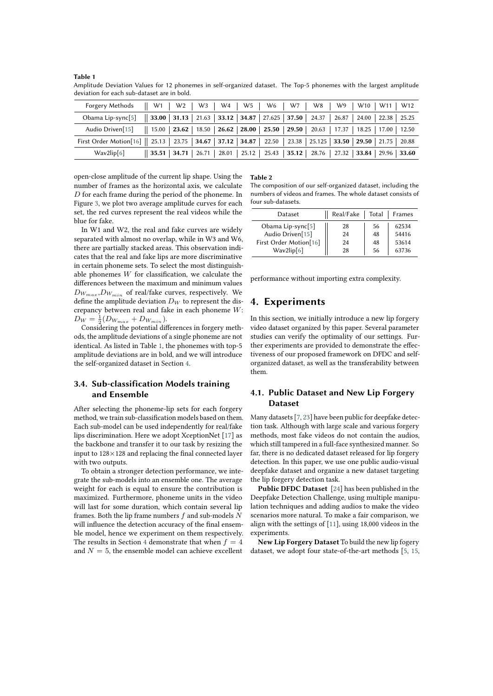<span id="page-3-0"></span>**Table 1** Amplitude Deviation Values for 12 phonemes in self-organized dataset. The Top-5 phonemes with the largest amplitude deviation for each sub-dataset are in bold.

| Forgery Methods $   W1    W2    W3    W4    W5    W6    W7    W8    W9    W10    W11    W12$                              |                                                                                                           |  |  |  |
|---------------------------------------------------------------------------------------------------------------------------|-----------------------------------------------------------------------------------------------------------|--|--|--|
| Obama Lip-sync[5]    33.00   31.13   21.63   33.12   34.87   27.625   37.50   24.37   26.87   24.00   22.38   25.25       |                                                                                                           |  |  |  |
| Audio Driven[15]    15.00   23.62   18.50   26.62   28.00   25.50   29.50   20.63   17.37   18.25   17.00   12.50         |                                                                                                           |  |  |  |
| First Order Motion [16]    25.13   23.75   34.67   37.12   34.87   22.50   23.38   25.125   33.50   29.50   21.75   20.88 |                                                                                                           |  |  |  |
| Wav2lip[6]                                                                                                                | $\parallel$ 35.51   34.71   26.71   28.01   25.12   25.43   35.12   28.76   27.32   33.84   29.96   33.60 |  |  |  |

open-close amplitude of the current lip shape. Using the number of frames as the horizontal axis, we calculate  $D$  for each frame during the period of the phoneme. In Figure [3,](#page-2-1) we plot two average amplitude curves for each set, the red curves represent the real videos while the blue for fake.

In W1 and W2, the real and fake curves are widely separated with almost no overlap, while in W3 and W6, there are partially stacked areas. This observation indicates that the real and fake lips are more discriminative in certain phoneme sets. To select the most distinguishable phonemes  $W$  for classification, we calculate the diferences between the maximum and minimum values  $D_{W_{max}}, D_{W_{min}}$  of real/fake curves, respectively. We define the amplitude deviation  $D_W$  to represent the discrepancy between real and fake in each phoneme  $W$ :  $D_W = \frac{1}{2}(D_{W_{max}} + D_{W_{min}}).$ 

Considering the potential diferences in forgery methods, the amplitude deviations of a single phoneme are not identical. As listed in Table [1,](#page-3-0) the phonemes with top-5 amplitude deviations are in bold, and we will introduce the self-organized dataset in Section [4.](#page-3-1)

## **3.4. Sub-classification Models training and Ensemble**

After selecting the phoneme-lip sets for each forgery method, we train sub-classifcation models based on them. Each sub-model can be used independently for real/fake lips discrimination. Here we adopt XceptionNet [\[17\]](#page-7-3) as the backbone and transfer it to our task by resizing the input to  $128\times128$  and replacing the final connected layer with two outputs.

To obtain a stronger detection performance, we integrate the sub-models into an ensemble one. The average weight for each is equal to ensure the contribution is maximized. Furthermore, phoneme units in the video will last for some duration, which contain several lip frames. Both the lip frame numbers  $f$  and sub-models  $N$ will infuence the detection accuracy of the fnal ensemble model, hence we experiment on them respectively. The results in Section [4](#page-3-1) demonstrate that when  $f = 4$ and  ${\cal N}=5,$  the ensemble model can achieve excellent

#### <span id="page-3-2"></span>**Table 2**

The composition of our self-organized dataset, including the numbers of videos and frames. The whole dataset consists of four sub-datasets.

| Dataset                |  | Real/Fake | Total | Frames |
|------------------------|--|-----------|-------|--------|
| Obama Lip-sync[5]      |  | 28        | 56    | 62534  |
| Audio Driven[15]       |  | 24        | 48    | 54416  |
| First Order Motion[16] |  | 24        | 48    | 53614  |
| Wav2lip[6]             |  | 28        | 56    | 63736  |

performance without importing extra complexity.

## <span id="page-3-1"></span>**4. Experiments**

In this section, we initially introduce a new lip forgery video dataset organized by this paper. Several parameter studies can verify the optimality of our settings. Further experiments are provided to demonstrate the efectiveness of our proposed framework on DFDC and selforganized dataset, as well as the transferability between them.

### **4.1. Public Dataset and New Lip Forgery Dataset**

Many datasets [\[7,](#page-6-2) [23\]](#page-7-9) have been public for deepfake detection task. Although with large scale and various forgery methods, most fake videos do not contain the audios, which still tampered in a full-face synthesized manner. So far, there is no dedicated dataset released for lip forgery detection. In this paper, we use one public audio-visual deepfake dataset and organize a new dataset targeting the lip forgery detection task.

**Public DFDC Dataset** [\[24\]](#page-7-10) has been published in the Deepfake Detection Challenge, using multiple manipulation techniques and adding audios to make the video scenarios more natural. To make a fair comparison, we align with the settings of [\[11\]](#page-6-4), using 18,000 videos in the experiments.

**New Lip Forgery Dataset** To build the new lip fogery dataset, we adopt four state-of-the-art methods [\[5,](#page-6-1) [15,](#page-7-1)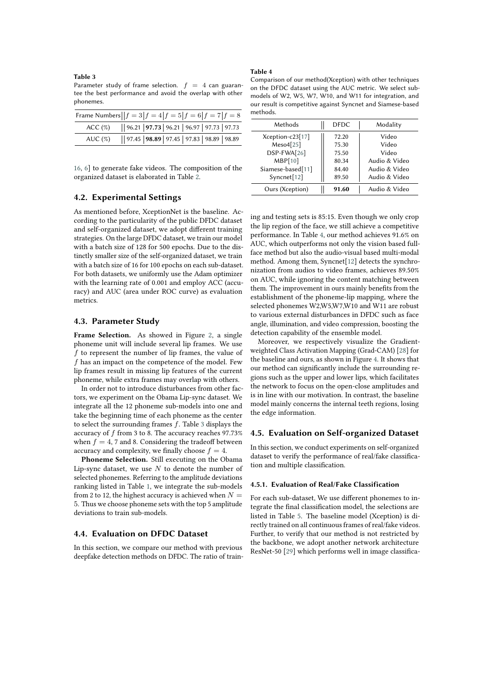#### <span id="page-4-0"></span>**Table 3**

Parameter study of frame selection.  $f = 4$  can guarantee the best performance and avoid the overlap with other phonemes.

| Frame Numbers $  f = 3 f = 4 f = 5 f = 6 f = 7 f = 8$ |                                               |  |  |  |  |  |  |  |
|-------------------------------------------------------|-----------------------------------------------|--|--|--|--|--|--|--|
| ACC(%)                                                | 96.21   97.73   96.21   96.97   97.73   97.73 |  |  |  |  |  |  |  |
| AUC $(\%)$                                            | 97.45   98.89   97.45   97.83   98.89   98.89 |  |  |  |  |  |  |  |

[16,](#page-7-2) [6\]](#page-6-7) to generate fake videos. The composition of the organized dataset is elaborated in Table [2.](#page-3-2)

### **4.2. Experimental Settings**

As mentioned before, XceptionNet is the baseline. According to the particularity of the public DFDC dataset and self-organized dataset, we adopt diferent training strategies. On the large DFDC dataset, we train our model with a batch size of 128 for 500 epochs. Due to the distinctly smaller size of the self-organized dataset, we train with a batch size of 16 for 100 epochs on each sub-dataset. For both datasets, we uniformly use the Adam optimizer with the learning rate of 0.001 and employ ACC (accuracy) and AUC (area under ROC curve) as evaluation metrics.

### **4.3. Parameter Study**

Frame Selection. As showed in Figure [2,](#page-2-0) a single phoneme unit will include several lip frames. We use  $f$  to represent the number of lip frames, the value of  $f$  has an impact on the competence of the model. Few lip frames result in missing lip features of the current phoneme, while extra frames may overlap with others.

In order not to introduce disturbances from other factors, we experiment on the Obama Lip-sync dataset. We integrate all the 12 phoneme sub-models into one and take the beginning time of each phoneme as the center to select the surrounding frames  $f$ . Table [3](#page-4-0) displays the accuracy of  $f$  from 3 to 8. The accuracy reaches 97.73% when  $f = 4$ , 7 and 8. Considering the tradeoff between accuracy and complexity, we finally choose  $f = 4$ .

**Phoneme Selection.** Still executing on the Obama Lip-sync dataset, we use  $N$  to denote the number of selected phonemes. Referring to the amplitude deviations ranking listed in Table [1,](#page-3-0) we integrate the sub-models from 2 to 12, the highest accuracy is achieved when  $N =$ 5. Thus we choose phoneme sets with the top 5 amplitude deviations to train sub-models.

#### **4.4. Evaluation on DFDC Dataset**

In this section, we compare our method with previous deepfake detection methods on DFDC. The ratio of train-

#### <span id="page-4-1"></span>**Table 4**

Comparison of our method(Xception) with other techniques on the DFDC dataset using the AUC metric. We select submodels of W2, W5, W7, W10, and W11 for integration, and our result is competitive against Syncnet and Siamese-based methods.

| Methods           | <b>DEDC</b> | Modality      |
|-------------------|-------------|---------------|
| Xception-c23[17]  | 72.20       | Video         |
| Meso4[25]         | 75.30       | Video         |
| DSP-FWA[26]       | 75.50       | Video         |
| MBP[10]           | 80.34       | Audio & Video |
| Siamese-based[11] | 84.40       | Audio & Video |
| Syncent[12]       | 89.50       | Audio & Video |
| Ours (Xception)   | 91.60       | Audio & Video |

ing and testing sets is 85:15. Even though we only crop the lip region of the face, we still achieve a competitive performance. In Table [4,](#page-4-1) our method achieves 91.6% on AUC, which outperforms not only the vision based fullface method but also the audio-visual based multi-modal method. Among them, Syncnet[\[12\]](#page-6-5) detects the synchronization from audios to video frames, achieves 89.50% on AUC, while ignoring the content matching between them. The improvement in ours mainly benefts from the establishment of the phoneme-lip mapping, where the selected phonemes W2,W5,W7,W10 and W11 are robust to various external disturbances in DFDC such as face angle, illumination, and video compression, boosting the detection capability of the ensemble model.

Moreover, we respectively visualize the Gradientweighted Class Activation Mapping (Grad-CAM) [\[28\]](#page-7-13) for the baseline and ours, as shown in Figure [4.](#page-5-0) It shows that our method can signifcantly include the surrounding regions such as the upper and lower lips, which facilitates the network to focus on the open-close amplitudes and is in line with our motivation. In contrast, the baseline model mainly concerns the internal teeth regions, losing the edge information.

### **4.5. Evaluation on Self-organized Dataset**

In this section, we conduct experiments on self-organized dataset to verify the performance of real/fake classifcation and multiple classifcation.

#### **4.5.1. Evaluation of Real/Fake Classification**

For each sub-dataset, We use diferent phonemes to integrate the fnal classifcation model, the selections are listed in Table [5.](#page-5-1) The baseline model (Xception) is directly trained on all continuous frames of real/fake videos. Further, to verify that our method is not restricted by the backbone, we adopt another network architecture ResNet-50 [\[29\]](#page-7-14) which performs well in image classifca-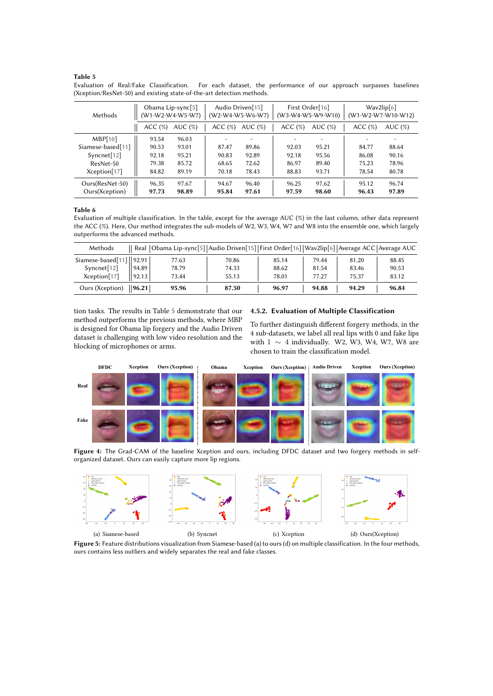#### <span id="page-5-1"></span>**Table 5**

Evaluation of Real/Fake Classification. For each dataset, the performance of our approach surpasses baselines (Xception/ResNet-50) and existing state-of-the-art detection methods.

| Methods           | Obama Lip-sync $[5]$<br>(W1-W2-W4-W5-W7) |            | Audio Driven[15]<br>(W2-W4-W5-W6-W7) |                          | First Order[16]<br>(W3-W4-W5-W9-W10) |            | Wav2lip[6]<br>(W1-W2-W7-W10-W12) |            |
|-------------------|------------------------------------------|------------|--------------------------------------|--------------------------|--------------------------------------|------------|----------------------------------|------------|
|                   | ACC(%)                                   | AUC $(\%)$ | ACC(%)                               | AUC $(\%)$               | ACC(%)                               | AUC $(\%)$ | ACC(%)                           | AUC $(\%)$ |
| MBP[10]           | 93.54                                    | 96.03      |                                      | $\overline{\phantom{0}}$ |                                      |            |                                  |            |
| Siamese-based[11] | 90.53                                    | 93.01      | 87.47                                | 89.86                    | 92.03                                | 95.21      | 84.77                            | 88.64      |
| Syncent[12]       | 92.18                                    | 95.21      | 90.83                                | 92.89                    | 92.18                                | 95.56      | 86.08                            | 90.16      |
| ResNet-50         | 79.38                                    | 85.72      | 68.65                                | 72.62                    | 86.97                                | 89.40      | 75.23                            | 78.96      |
| Xception[17]      | 84.82                                    | 89.19      | 70.18                                | 78.43                    | 88.83                                | 93.71      | 78.54                            | 80.78      |
| Ours(ResNet-50)   | 96.35                                    | 97.67      | 94.67                                | 96.40                    | 96.25                                | 97.62      | 95.12                            | 96.74      |
| Ours(Xception)    | 97.73                                    | 98.89      | 95.84                                | 97.61                    | 97.59                                | 98.60      | 96.43                            | 97.89      |

#### <span id="page-5-2"></span>**Table 6**

Evaluation of multiple classification. In the table, except for the average AUC (%) in the last column, other data represent the ACC (%). Here, Our method integrates the sub-models of W2, W3, W4, W7 and W8 into the ensemble one, which largely outperforms the advanced methods.

| Methods                                    |                   | Real Obama Lip-sync[5] Audio Driven[15] First Order[16] Wav2lip[6] Average ACC Average AUC |       |       |       |       |       |
|--------------------------------------------|-------------------|--------------------------------------------------------------------------------------------|-------|-------|-------|-------|-------|
| Siamese-based $[11]$   92.91               |                   | 77.63                                                                                      | 70.86 | 85.14 | 79.44 | 81.20 | 88.45 |
| Syncnet[12]                                | 94.89             | 78.79                                                                                      | 74.33 | 88.62 | 81.54 | 83.46 | 90.53 |
| Xception[17]                               | $\parallel$ 92.13 | 73.44                                                                                      | 55.13 | 78.01 | 77.27 | 75.37 | 83.12 |
| Ours (Xception) $\vert\vert$ 96.21 $\vert$ |                   | 95.96                                                                                      | 87.50 | 96.97 | 94.88 | 94.29 | 96.84 |

tion tasks. The results in Table [5](#page-5-1) demonstrate that our method outperforms the previous methods, where MBP is designed for Obama lip forgery and the Audio Driven dataset is challenging with low video resolution and the blocking of microphones or arms.

### **4.5.2. Evaluation of Multiple Classification**

<span id="page-5-3"></span><span id="page-5-0"></span>To further distinguish diferent forgery methods, in the 4 sub-datasets, we label all real lips with 0 and fake lips with  $1 \sim 4$  individually. W2, W3, W4, W7, W8 are chosen to train the classifcation model.



**Figure 4:** The Grad-CAM of the baseline Xception and ours, including DFDC dataset and two forgery methods in selforganized dataset. Ours can easily capture more lip regions.



**Figure 5:** Feature distributions visualization from Siamese-based (a) to ours (d) on multiple classification. In the four methods, ours contains less outliers and widely separates the real and fake classes.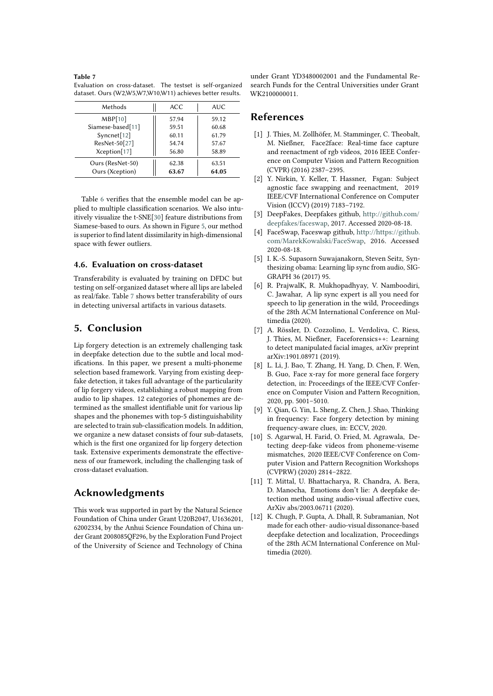#### <span id="page-6-8"></span>**Table 7** Evaluation on cross-dataset. The testset is self-organized dataset. Ours (W2,W5,W7,W10,W11) achieves better results.

| Methods                 | ACC   | AUC.  |
|-------------------------|-------|-------|
| MBP[10]                 | 57.94 | 59.12 |
| Siamese-based[11]       | 59.51 | 60.68 |
| Syncnet <sup>[12]</sup> | 60.11 | 61.79 |
| ResNet-50[27]           | 54.74 | 57.67 |
| Xception[17]            | 56.80 | 58.89 |
| Ours (ResNet-50)        | 62.38 | 63.51 |
| Ours (Xception)         | 63.67 | 64.05 |

Table [6](#page-5-2) verifes that the ensemble model can be applied to multiple classifcation scenarios. We also intuitively visualize the t-SNE[\[30\]](#page-7-16) feature distributions from Siamese-based to ours. As shown in Figure [5,](#page-5-3) our method is superior to fnd latent dissimilarity in high-dimensional space with fewer outliers.

### **4.6. Evaluation on cross-dataset**

Transferability is evaluated by training on DFDC but testing on self-organized dataset where all lips are labeled as real/fake. Table [7](#page-6-8) shows better transferability of ours in detecting universal artifacts in various datasets.

## **5. Conclusion**

Lip forgery detection is an extremely challenging task in deepfake detection due to the subtle and local modifcations. In this paper, we present a multi-phoneme selection based framework. Varying from existing deepfake detection, it takes full advantage of the particularity of lip forgery videos, establishing a robust mapping from audio to lip shapes. 12 categories of phonemes are determined as the smallest identifable unit for various lip shapes and the phonemes with top-5 distinguishability are selected to train sub-classifcation models. In addition, we organize a new dataset consists of four sub-datasets, which is the frst one organized for lip forgery detection task. Extensive experiments demonstrate the effectiveness of our framework, including the challenging task of cross-dataset evaluation.

## **Acknowledgments**

This work was supported in part by the Natural Science Foundation of China under Grant U20B2047, U1636201, 62002334, by the Anhui Science Foundation of China under Grant 2008085QF296, by the Exploration Fund Project of the University of Science and Technology of China

under Grant YD3480002001 and the Fundamental Research Funds for the Central Universities under Grant WK2100000011.

## **References**

- [1] J. Thies, M. Zollhöfer, M. Stamminger, C. Theobalt, M. Nießner, Face2face: Real-time face capture and reenactment of rgb videos, 2016 IEEE Conference on Computer Vision and Pattern Recognition (CVPR) (2016) 2387–2395.
- [2] Y. Nirkin, Y. Keller, T. Hassner, Fsgan: Subject agnostic face swapping and reenactment, 2019 IEEE/CVF International Conference on Computer Vision (ICCV) (2019) 7183–7192.
- [3] DeepFakes, Deepfakes github, [http://github.com/](http://github.com/deepfakes/faceswap) [deepfakes/faceswap,](http://github.com/deepfakes/faceswap) 2017. Accessed 2020-08-18.
- <span id="page-6-0"></span>[4] FaceSwap, Faceswap github, [http://https://github.](http://https://github.com/MarekKowalski/FaceSwap) [com/MarekKowalski/FaceSwap,](http://https://github.com/MarekKowalski/FaceSwap) 2016. Accessed 2020-08-18.
- <span id="page-6-1"></span>[5] I. K.-S. Supasorn Suwajanakorn, Steven Seitz, Synthesizing obama: Learning lip sync from audio, SIG-GRAPH 36 (2017) 95.
- <span id="page-6-7"></span>[6] R. PrajwalK, R. Mukhopadhyay, V. Namboodiri, C. Jawahar, A lip sync expert is all you need for speech to lip generation in the wild, Proceedings of the 28th ACM International Conference on Multimedia (2020).
- <span id="page-6-2"></span>[7] A. Rössler, D. Cozzolino, L. Verdoliva, C. Riess, J. Thies, M. Nießner, Faceforensics++: Learning to detect manipulated facial images, arXiv preprint arXiv:1901.08971 (2019).
- [8] L. Li, J. Bao, T. Zhang, H. Yang, D. Chen, F. Wen, B. Guo, Face x-ray for more general face forgery detection, in: Proceedings of the IEEE/CVF Conference on Computer Vision and Pattern Recognition, 2020, pp. 5001–5010.
- <span id="page-6-3"></span>[9] Y. Qian, G. Yin, L. Sheng, Z. Chen, J. Shao, Thinking in frequency: Face forgery detection by mining frequency-aware clues, in: ECCV, 2020.
- <span id="page-6-6"></span>[10] S. Agarwal, H. Farid, O. Fried, M. Agrawala, Detecting deep-fake videos from phoneme-viseme mismatches, 2020 IEEE/CVF Conference on Computer Vision and Pattern Recognition Workshops (CVPRW) (2020) 2814–2822.
- <span id="page-6-4"></span>[11] T. Mittal, U. Bhattacharya, R. Chandra, A. Bera, D. Manocha, Emotions don't lie: A deepfake detection method using audio-visual afective cues, ArXiv abs/2003.06711 (2020).
- <span id="page-6-5"></span>[12] K. Chugh, P. Gupta, A. Dhall, R. Subramanian, Not made for each other- audio-visual dissonance-based deepfake detection and localization, Proceedings of the 28th ACM International Conference on Multimedia (2020).